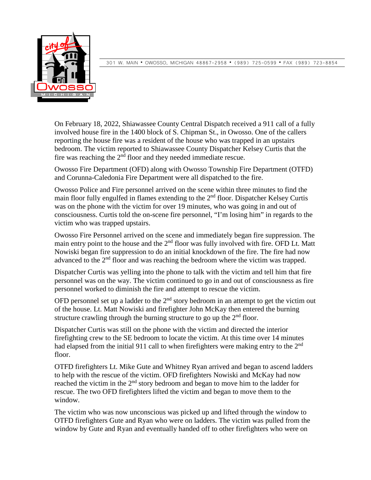

301 W. MAIN OWOSSO, MICHIGAN 48867-2958 (989) 725-0599 FAX (989) 723-8854

On February 18, 2022, Shiawassee County Central Dispatch received a 911 call of a fully involved house fire in the 1400 block of S. Chipman St., in Owosso. One of the callers reporting the house fire was a resident of the house who was trapped in an upstairs bedroom. The victim reported to Shiawassee County Dispatcher Kelsey Curtis that the fire was reaching the  $2<sup>nd</sup>$  floor and they needed immediate rescue.

Owosso Fire Department (OFD) along with Owosso Township Fire Department (OTFD) and Corunna-Caledonia Fire Department were all dispatched to the fire.

Owosso Police and Fire personnel arrived on the scene within three minutes to find the main floor fully engulfed in flames extending to the 2<sup>nd</sup> floor. Dispatcher Kelsey Curtis was on the phone with the victim for over 19 minutes, who was going in and out of consciousness. Curtis told the on-scene fire personnel, "I'm losing him" in regards to the victim who was trapped upstairs.

Owosso Fire Personnel arrived on the scene and immediately began fire suppression. The main entry point to the house and the  $2<sup>nd</sup>$  floor was fully involved with fire. OFD Lt. Matt Nowiski began fire suppression to do an initial knockdown of the fire. The fire had now advanced to the 2<sup>nd</sup> floor and was reaching the bedroom where the victim was trapped.

Dispatcher Curtis was yelling into the phone to talk with the victim and tell him that fire personnel was on the way. The victim continued to go in and out of consciousness as fire personnel worked to diminish the fire and attempt to rescue the victim.

OFD personnel set up a ladder to the  $2<sup>nd</sup>$  story bedroom in an attempt to get the victim out of the house. Lt. Matt Nowiski and firefighter John McKay then entered the burning structure crawling through the burning structure to go up the  $2<sup>nd</sup>$  floor.

Dispatcher Curtis was still on the phone with the victim and directed the interior firefighting crew to the SE bedroom to locate the victim. At this time over 14 minutes had elapsed from the initial 911 call to when firefighters were making entry to the  $2<sup>nd</sup>$ floor.

OTFD firefighters Lt. Mike Gute and Whitney Ryan arrived and began to ascend ladders to help with the rescue of the victim. OFD firefighters Nowiski and McKay had now reached the victim in the  $2<sup>nd</sup>$  story bedroom and began to move him to the ladder for rescue. The two OFD firefighters lifted the victim and began to move them to the window.

The victim who was now unconscious was picked up and lifted through the window to OTFD firefighters Gute and Ryan who were on ladders. The victim was pulled from the window by Gute and Ryan and eventually handed off to other firefighters who were on